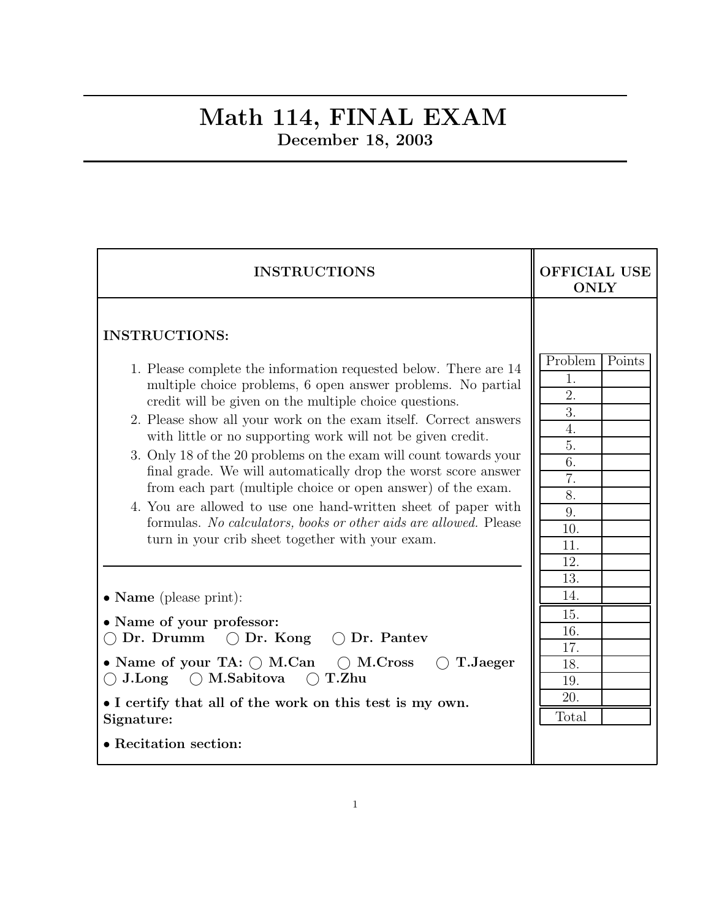## Math 114, FINAL EXAM December 18, 2003

| <b>INSTRUCTIONS</b>                                                                                                                                                                                                                                                                                                                                                                                                                                                                                                                                                                                                                                                                                                                                     | OFFICIAL USE<br><b>ONLY</b>                                                                  |  |  |
|---------------------------------------------------------------------------------------------------------------------------------------------------------------------------------------------------------------------------------------------------------------------------------------------------------------------------------------------------------------------------------------------------------------------------------------------------------------------------------------------------------------------------------------------------------------------------------------------------------------------------------------------------------------------------------------------------------------------------------------------------------|----------------------------------------------------------------------------------------------|--|--|
| <b>INSTRUCTIONS:</b><br>1. Please complete the information requested below. There are 14<br>multiple choice problems, 6 open answer problems. No partial<br>credit will be given on the multiple choice questions.<br>2. Please show all your work on the exam itself. Correct answers<br>with little or no supporting work will not be given credit.<br>3. Only 18 of the 20 problems on the exam will count towards your<br>final grade. We will automatically drop the worst score answer<br>from each part (multiple choice or open answer) of the exam.<br>4. You are allowed to use one hand-written sheet of paper with<br>formulas. No calculators, books or other aids are allowed. Please<br>turn in your crib sheet together with your exam. | Problem<br>Points<br>1.<br>2.<br>3.<br>4.<br>5.<br>6.<br>7.<br>8.<br>9.<br>10.<br>11.<br>12. |  |  |
| • Name (please print):<br>• Name of your professor:<br>Dr. Drumm $\bigcirc$ Dr. Kong $\bigcirc$ Dr. Pantev<br>• Name of your TA: $\bigcirc$ M.Can $\bigcirc$ M.Cross<br>T.Jaeger<br>$\bigcirc$ T.Zhu<br>$\bigcirc$ M.Sabitova<br>$\bigcirc$ J.Long<br>• I certify that all of the work on this test is my own.<br>Signature:<br>• Recitation section:                                                                                                                                                                                                                                                                                                                                                                                                   | 13.<br>14.<br>15.<br>16.<br>17.<br>18.<br>19.<br>20.<br>Total                                |  |  |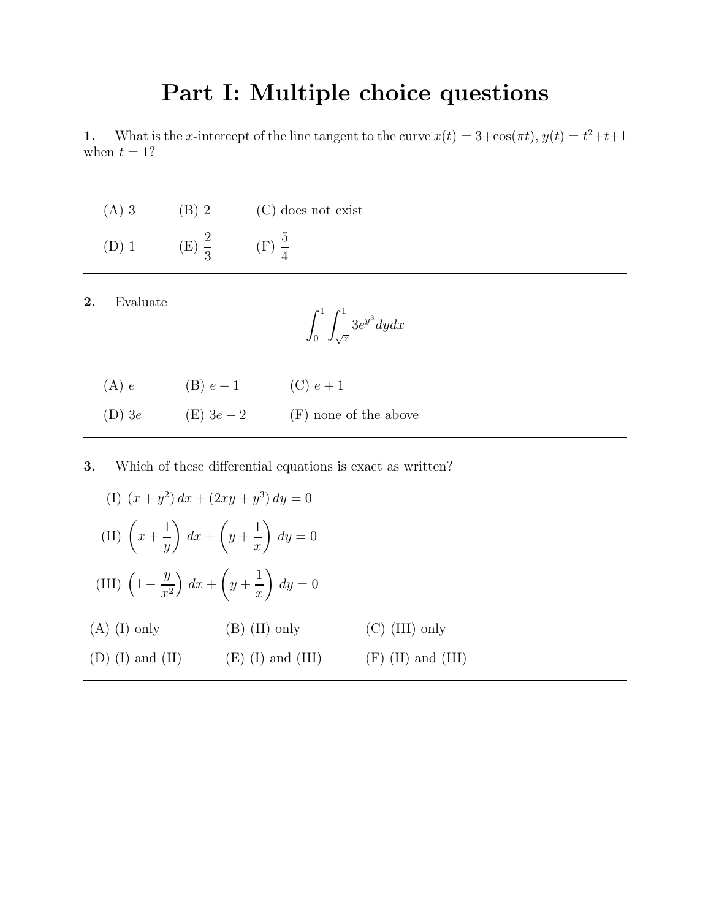## Part I: Multiple choice questions

1. What is the x-intercept of the line tangent to the curve  $x(t) = 3 + \cos(\pi t)$ ,  $y(t) = t^2 + t + 1$ when  $t = 1$ ?

(A) 3 (B) 2 (C) does not exist (D) 1 (E)  $\frac{2}{3}$ 3  $(F) \frac{5}{4}$ 4

| റ<br>Ζ. | Evaluate |
|---------|----------|
|         |          |

$$
\int_0^1 \int_{\sqrt{x}}^1 3e^{y^3} dy dx
$$

| (A) e    | (B) $e-1$  | (C) $e + 1$           |
|----------|------------|-----------------------|
| $(D)$ 3e | (E) $3e-2$ | (F) none of the above |

3. Which of these differential equations is exact as written?

$$
(I) (x + y2) dx + (2xy + y3) dy = 0
$$
  
\n
$$
(II) \left(x + \frac{1}{y}\right) dx + \left(y + \frac{1}{x}\right) dy = 0
$$
  
\n
$$
(III) \left(1 - \frac{y}{x2}\right) dx + \left(y + \frac{1}{x}\right) dy = 0
$$
  
\n(A) (I) only  
\n(B) (II) only  
\n(C) (III) only  
\n(D) (I) and (II) (E) (I) and (III) (F) (II) and (III)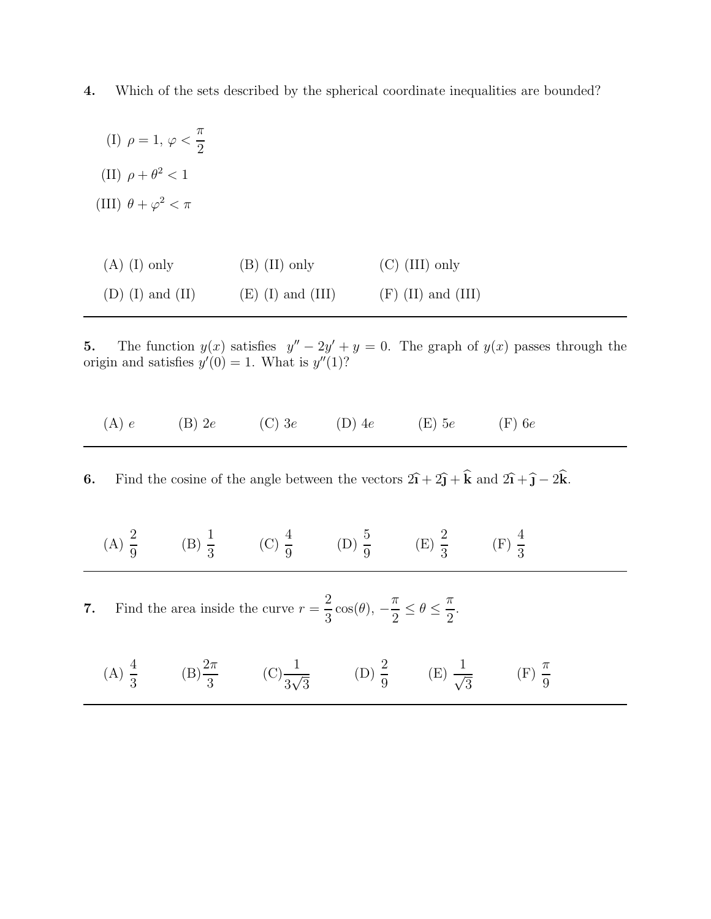4. Which of the sets described by the spherical coordinate inequalities are bounded?

(I)  $\rho = 1, \varphi <$ π 2 (II)  $\rho + \theta^2 < 1$ (III)  $\theta + \varphi^2 < \pi$ 

| $(A)$ (I) only     | $(B)$ (II) only     | $(C)$ (III) only     |
|--------------------|---------------------|----------------------|
| $(D)$ (I) and (II) | $(E)$ (I) and (III) | $(F)$ (II) and (III) |

5. The function  $y(x)$  satisfies  $y'' - 2y' + y = 0$ . The graph of  $y(x)$  passes through the origin and satisfies  $y'(0) = 1$ . What is  $y''(1)$ ?

| (A) e | $(B)$ 2e | $(C)$ 3e | $(D)$ 4e | $(E)$ 5e | $(F)$ 6e |
|-------|----------|----------|----------|----------|----------|
|-------|----------|----------|----------|----------|----------|

6. Find the cosine of the angle between the vectors  $2\hat{i} + 2\hat{j} + \hat{k}$  and  $2\hat{i} + \hat{j} - 2\hat{k}$ .

(A) 
$$
\frac{2}{9}
$$
 (B)  $\frac{1}{3}$  (C)  $\frac{4}{9}$  (D)  $\frac{5}{9}$  (E)  $\frac{2}{3}$  (F)  $\frac{4}{3}$ 

7. Find the area inside the curve  $r=\frac{2}{3}$  $\frac{1}{3}\cos(\theta)$ , –  $\pi$  $\frac{n}{2} \leq \theta \leq$  $\pi$ 2 .

(A) 
$$
\frac{4}{3}
$$
 \t(B)  $\frac{2\pi}{3}$  \t(C)  $\frac{1}{3\sqrt{3}}$  \t(D)  $\frac{2}{9}$  \t(E)  $\frac{1}{\sqrt{3}}$  \t(F)  $\frac{\pi}{9}$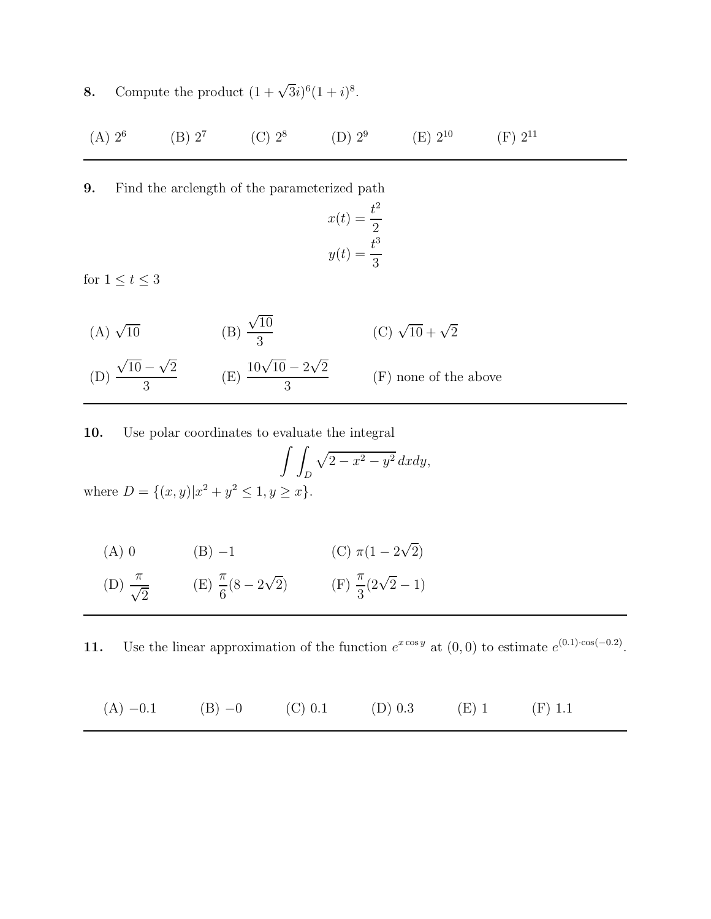**8.** Compute the product  $(1 + \sqrt{3}i)^6 (1 + i)^8$ .

| $(A) 2^6$ | $(B) 2^7$ | (C) $2^8$ | (D) $2^9$ | $(E) 2^{10}$ | $(F) 2^{11}$ |
|-----------|-----------|-----------|-----------|--------------|--------------|
|-----------|-----------|-----------|-----------|--------------|--------------|

9. Find the arclength of the parameterized path

$$
x(t) = \frac{t^2}{2}
$$

$$
y(t) = \frac{t^3}{3}
$$

for  $1\leq t\leq 3$ 

(A)  $\sqrt{10}$ 10 (B)  $\sqrt{10}$ 3 (C)  $\sqrt{10} + \sqrt{2}$ (D)  $\sqrt{10} - \sqrt{2}$ 3 (E)  $\frac{10\sqrt{10}-2\sqrt{2}}{2}$ 3 (F) none of the above

10. Use polar coordinates to evaluate the integral

$$
\int \int_D \sqrt{2 - x^2 - y^2} \, dxdy,
$$
  
where  $D = \{(x, y) | x^2 + y^2 \le 1, y \ge x\}.$ 

(A) 0   
 (B) -1   
 (C) 
$$
\pi(1 - 2\sqrt{2})
$$

(D) 
$$
\frac{\pi}{\sqrt{2}}
$$
 (E)  $\frac{\pi}{6}(8 - 2\sqrt{2})$  (F)  $\frac{\pi}{3}(2\sqrt{2} - 1)$ 

11. Use the linear approximation of the function  $e^{x \cos y}$  at  $(0,0)$  to estimate  $e^{(0.1)\cos(-0.2)}$ .

(A) 
$$
-0.1
$$
 (B)  $-0$  (C)  $0.1$  (D)  $0.3$  (E) 1 (F) 1.1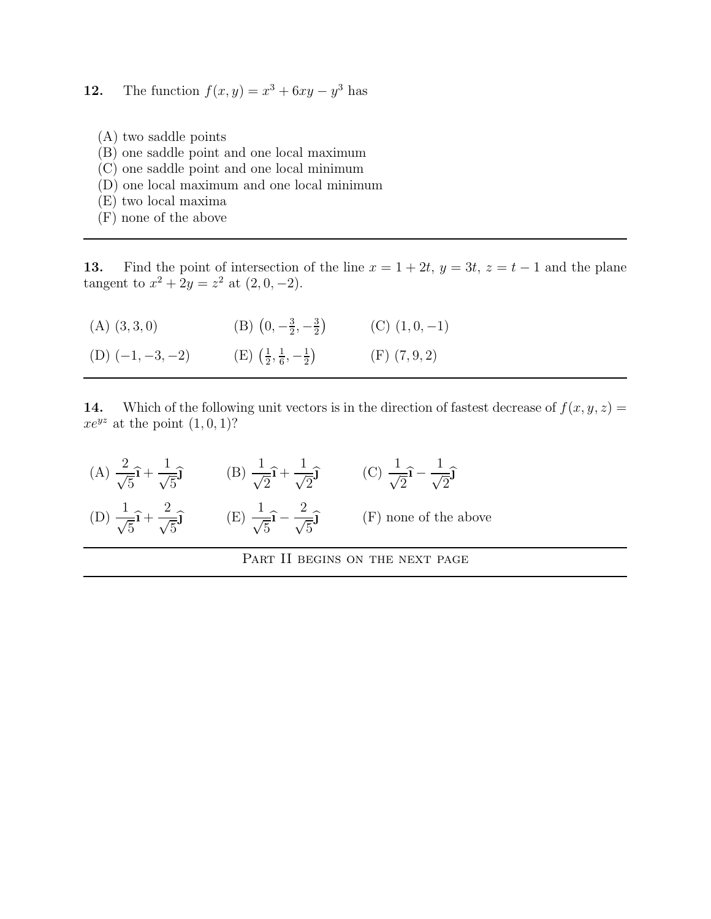**12.** The function  $f(x, y) = x^3 + 6xy - y^3$  has

- (A) two saddle points
- (B) one saddle point and one local maximum
- (C) one saddle point and one local minimum
- (D) one local maximum and one local minimum
- (E) two local maxima
- (F) none of the above

13. Find the point of intersection of the line  $x = 1 + 2t$ ,  $y = 3t$ ,  $z = t - 1$  and the plane tangent to  $x^2 + 2y = z^2$  at  $(2, 0, -2)$ .

 $(A)$   $(3, 3, 0)$  $0, -\frac{3}{2}$  $\frac{3}{2}, -\frac{3}{2}$  $\frac{3}{2}$  (C)  $(1, 0, -1)$ 

(D)  $(-1, -3, -2)$  (E)  $\left(\frac{1}{2}\right)$  $\frac{1}{2}, \frac{1}{6}$  $\frac{1}{6}, -\frac{1}{2}$  $\frac{1}{2}$  (F) (7, 9, 2)

14. Which of the following unit vectors is in the direction of fastest decrease of  $f(x, y, z) =$  $xe^{yz}$  at the point  $(1, 0, 1)$ ?

| $\frac{1}{\sqrt{5}}\hat{i}+\frac{1}{\sqrt{5}}\hat{j}$ | (B) $\frac{1}{\sqrt{2}}\hat{i} + \frac{1}{\sqrt{2}}\hat{j}$ | $\frac{1}{\sqrt{2}}$ – $\frac{1}{\sqrt{2}}$ |
|-------------------------------------------------------|-------------------------------------------------------------|---------------------------------------------|
| $rac{1}{\sqrt{5}}\hat{i} + \frac{2}{\sqrt{5}}\hat{j}$ | $-\frac{2}{\sqrt{5}}\hat{\mathbf{j}}$                       | $(F)$ none of the above                     |

PART II BEGINS ON THE NEXT PAGE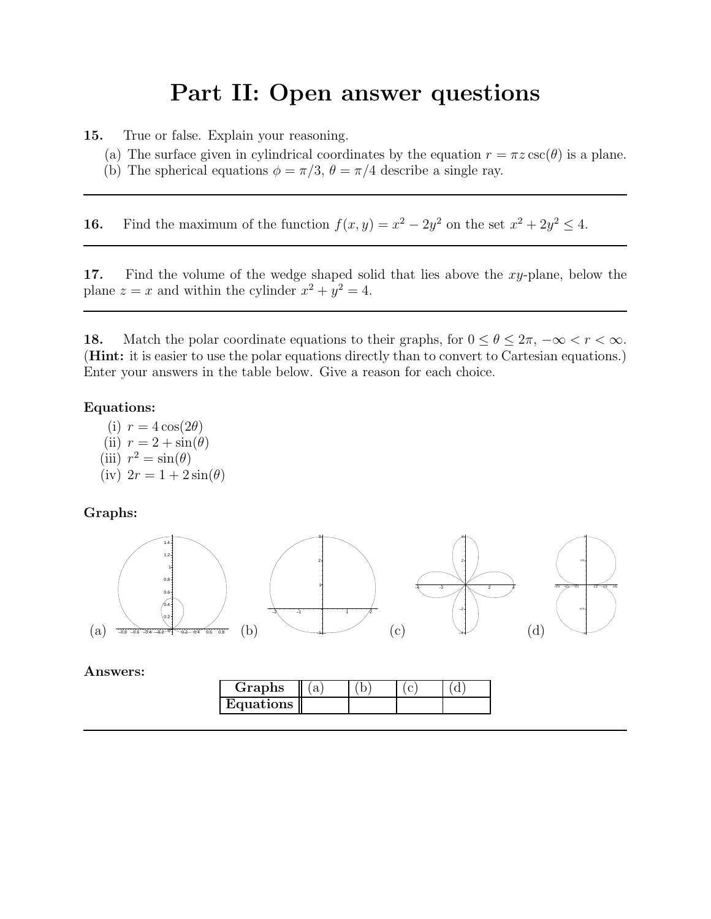## Part II: Open answer questions

15. True or false. Explain your reasoning.

- (a) The surface given in cylindrical coordinates by the equation  $r = \pi z \csc(\theta)$  is a plane.
- (b) The spherical equations  $\phi = \pi/3$ ,  $\theta = \pi/4$  describe a single ray.

**16.** Find the maximum of the function  $f(x, y) = x^2 - 2y^2$  on the set  $x^2 + 2y^2 \le 4$ .

17. Find the volume of the wedge shaped solid that lies above the xy-plane, below the plane  $z = x$  and within the cylinder  $x^2 + y^2 = 4$ .

18. Match the polar coordinate equations to their graphs, for  $0 \le \theta \le 2\pi$ ,  $-\infty < r < \infty$ . (Hint: it is easier to use the polar equations directly than to convert to Cartesian equations.) Enter your answers in the table below. Give a reason for each choice.

## Equations:

(i)  $r = 4 \cos(2\theta)$ (ii)  $r = 2 + \sin(\theta)$ (iii)  $r^2 = \sin(\theta)$ (iv)  $2r = 1 + 2\sin(\theta)$ 

Graphs:



Answers: